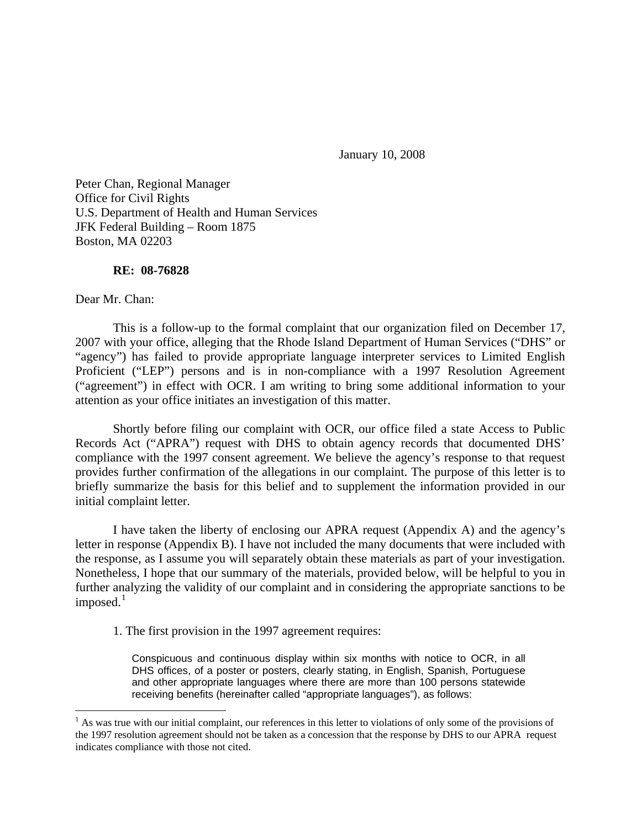January 10, 2008

Peter Chan, Regional Manager Office for Civil Rights U.S. Department of Health and Human Services JFK Federal Building – Room 1875 Boston, MA 02203

## **RE: 08-76828**

Dear Mr. Chan:

 $\overline{a}$ 

 This is a follow-up to the formal complaint that our organization filed on December 17, 2007 with your office, alleging that the Rhode Island Department of Human Services ("DHS" or "agency") has failed to provide appropriate language interpreter services to Limited English Proficient ("LEP") persons and is in non-compliance with a 1997 Resolution Agreement ("agreement") in effect with OCR. I am writing to bring some additional information to your attention as your office initiates an investigation of this matter.

 Shortly before filing our complaint with OCR, our office filed a state Access to Public Records Act ("APRA") request with DHS to obtain agency records that documented DHS' compliance with the 1997 consent agreement. We believe the agency's response to that request provides further confirmation of the allegations in our complaint. The purpose of this letter is to briefly summarize the basis for this belief and to supplement the information provided in our initial complaint letter.

I have taken the liberty of enclosing our APRA request (Appendix A) and the agency's letter in response (Appendix B). I have not included the many documents that were included with the response, as I assume you will separately obtain these materials as part of your investigation. Nonetheless, I hope that our summary of the materials, provided below, will be helpful to you in further analyzing the validity of our complaint and in considering the appropriate sanctions to be imposed. $<sup>1</sup>$  $<sup>1</sup>$  $<sup>1</sup>$ </sup>

1. The first provision in the 1997 agreement requires:

Conspicuous and continuous display within six months with notice to OCR, in all DHS offices, of a poster or posters, clearly stating, in English, Spanish, Portuguese and other appropriate languages where there are more than 100 persons statewide receiving benefits (hereinafter called "appropriate languages"), as follows:

<span id="page-0-0"></span> $<sup>1</sup>$  As was true with our initial complaint, our references in this letter to violations of only some of the provisions of</sup> the 1997 resolution agreement should not be taken as a concession that the response by DHS to our APRA request indicates compliance with those not cited.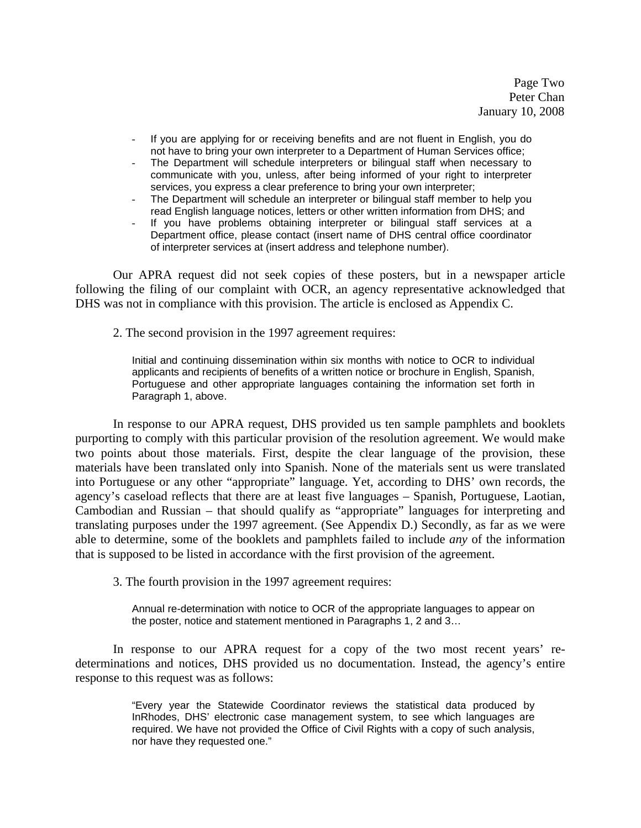Page Two Peter Chan January 10, 2008

- If you are applying for or receiving benefits and are not fluent in English, you do not have to bring your own interpreter to a Department of Human Services office;
- The Department will schedule interpreters or bilingual staff when necessary to communicate with you, unless, after being informed of your right to interpreter services, you express a clear preference to bring your own interpreter;
- The Department will schedule an interpreter or bilingual staff member to help you read English language notices, letters or other written information from DHS; and
- If you have problems obtaining interpreter or bilingual staff services at a Department office, please contact (insert name of DHS central office coordinator of interpreter services at (insert address and telephone number).

Our APRA request did not seek copies of these posters, but in a newspaper article following the filing of our complaint with OCR, an agency representative acknowledged that DHS was not in compliance with this provision. The article is enclosed as Appendix C.

2. The second provision in the 1997 agreement requires:

Initial and continuing dissemination within six months with notice to OCR to individual applicants and recipients of benefits of a written notice or brochure in English, Spanish, Portuguese and other appropriate languages containing the information set forth in Paragraph 1, above.

In response to our APRA request, DHS provided us ten sample pamphlets and booklets purporting to comply with this particular provision of the resolution agreement. We would make two points about those materials. First, despite the clear language of the provision, these materials have been translated only into Spanish. None of the materials sent us were translated into Portuguese or any other "appropriate" language. Yet, according to DHS' own records, the agency's caseload reflects that there are at least five languages – Spanish, Portuguese, Laotian, Cambodian and Russian – that should qualify as "appropriate" languages for interpreting and translating purposes under the 1997 agreement. (See Appendix D.) Secondly, as far as we were able to determine, some of the booklets and pamphlets failed to include *any* of the information that is supposed to be listed in accordance with the first provision of the agreement.

3. The fourth provision in the 1997 agreement requires:

Annual re-determination with notice to OCR of the appropriate languages to appear on the poster, notice and statement mentioned in Paragraphs 1, 2 and 3…

 In response to our APRA request for a copy of the two most recent years' redeterminations and notices, DHS provided us no documentation. Instead, the agency's entire response to this request was as follows:

> "Every year the Statewide Coordinator reviews the statistical data produced by InRhodes, DHS' electronic case management system, to see which languages are required. We have not provided the Office of Civil Rights with a copy of such analysis, nor have they requested one."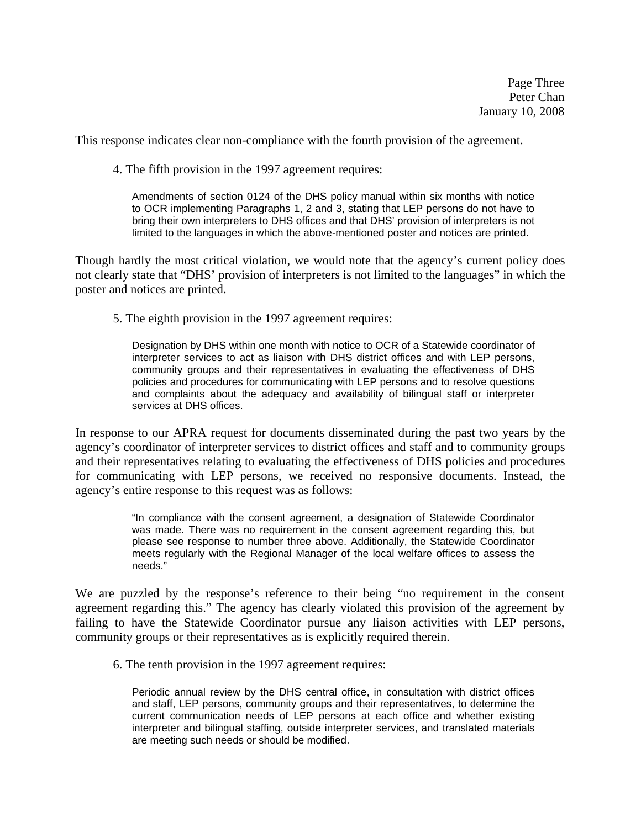This response indicates clear non-compliance with the fourth provision of the agreement.

4. The fifth provision in the 1997 agreement requires:

Amendments of section 0124 of the DHS policy manual within six months with notice to OCR implementing Paragraphs 1, 2 and 3, stating that LEP persons do not have to bring their own interpreters to DHS offices and that DHS' provision of interpreters is not limited to the languages in which the above-mentioned poster and notices are printed.

Though hardly the most critical violation, we would note that the agency's current policy does not clearly state that "DHS' provision of interpreters is not limited to the languages" in which the poster and notices are printed.

5. The eighth provision in the 1997 agreement requires:

Designation by DHS within one month with notice to OCR of a Statewide coordinator of interpreter services to act as liaison with DHS district offices and with LEP persons, community groups and their representatives in evaluating the effectiveness of DHS policies and procedures for communicating with LEP persons and to resolve questions and complaints about the adequacy and availability of bilingual staff or interpreter services at DHS offices.

In response to our APRA request for documents disseminated during the past two years by the agency's coordinator of interpreter services to district offices and staff and to community groups and their representatives relating to evaluating the effectiveness of DHS policies and procedures for communicating with LEP persons, we received no responsive documents. Instead, the agency's entire response to this request was as follows:

> "In compliance with the consent agreement, a designation of Statewide Coordinator was made. There was no requirement in the consent agreement regarding this, but please see response to number three above. Additionally, the Statewide Coordinator meets regularly with the Regional Manager of the local welfare offices to assess the needs."

We are puzzled by the response's reference to their being "no requirement in the consent agreement regarding this." The agency has clearly violated this provision of the agreement by failing to have the Statewide Coordinator pursue any liaison activities with LEP persons, community groups or their representatives as is explicitly required therein.

6. The tenth provision in the 1997 agreement requires:

Periodic annual review by the DHS central office, in consultation with district offices and staff, LEP persons, community groups and their representatives, to determine the current communication needs of LEP persons at each office and whether existing interpreter and bilingual staffing, outside interpreter services, and translated materials are meeting such needs or should be modified.